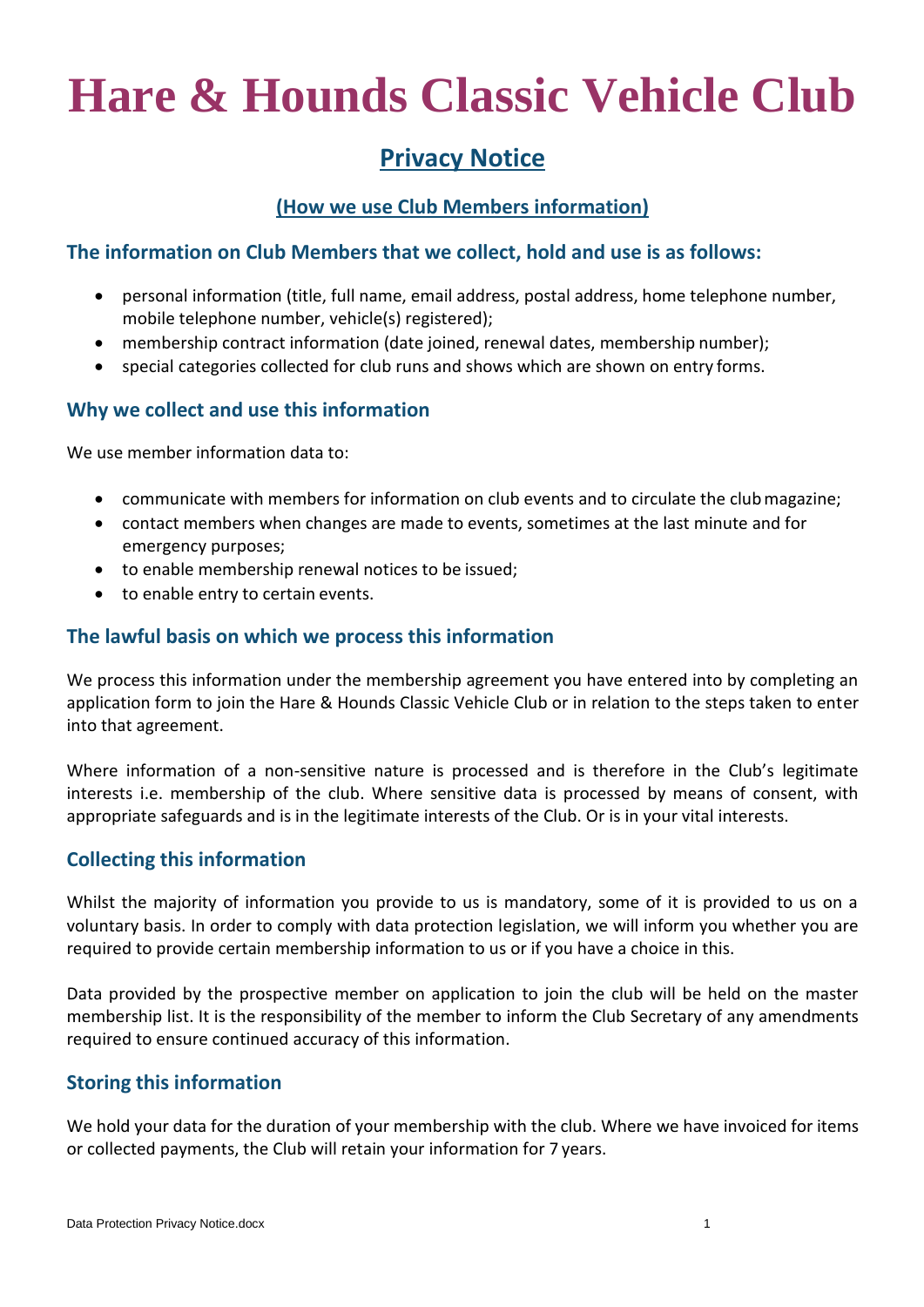# **Hare & Hounds Classic Vehicle Club**

# **Privacy Notice**

## **(How we use Club Members information)**

#### **The information on Club Members that we collect, hold and use is as follows:**

- personal information (title, full name, email address, postal address, home telephone number, mobile telephone number, vehicle(s) registered);
- membership contract information (date joined, renewal dates, membership number);
- special categories collected for club runs and shows which are shown on entry forms.

#### **Why we collect and use this information**

We use member information data to:

- communicate with members for information on club events and to circulate the clubmagazine;
- contact members when changes are made to events, sometimes at the last minute and for emergency purposes;
- to enable membership renewal notices to be issued;
- to enable entry to certain events.

#### **The lawful basis on which we process this information**

We process this information under the membership agreement you have entered into by completing an application form to join the Hare & Hounds Classic Vehicle Club or in relation to the steps taken to enter into that agreement.

Where information of a non-sensitive nature is processed and is therefore in the Club's legitimate interests i.e. membership of the club. Where sensitive data is processed by means of consent, with appropriate safeguards and is in the legitimate interests of the Club. Or is in your vital interests.

#### **Collecting this information**

Whilst the majority of information you provide to us is mandatory, some of it is provided to us on a voluntary basis. In order to comply with data protection legislation, we will inform you whether you are required to provide certain membership information to us or if you have a choice in this.

Data provided by the prospective member on application to join the club will be held on the master membership list. It is the responsibility of the member to inform the Club Secretary of any amendments required to ensure continued accuracy of this information.

### **Storing this information**

We hold your data for the duration of your membership with the club. Where we have invoiced for items or collected payments, the Club will retain your information for 7 years.